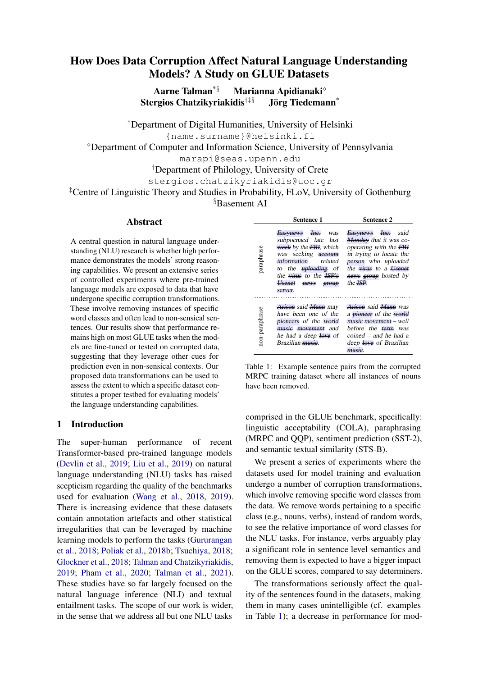# How Does Data Corruption Affect Natural Language Understanding Models? A Study on GLUE Datasets

Aarne Talman<sup>\*§</sup> Marianna Apidianaki<sup>◇</sup> Stergios Chatzikyriakidis†‡§ Jörg Tiedemann\*

\*Department of Digital Humanities, University of Helsinki

{name.surname}@helsinki.fi

<sup>⋄</sup>Department of Computer and Information Science, University of Pennsylvania

marapi@seas.upenn.edu

†Department of Philology, University of Crete

stergios.chatzikyriakidis@uoc.gr

‡Centre of Linguistic Theory and Studies in Probability, FLoV, University of Gothenburg

§Basement AI

# **Abstract**

A central question in natural language understanding (NLU) research is whether high performance demonstrates the models' strong reasoning capabilities. We present an extensive series of controlled experiments where pre-trained language models are exposed to data that have undergone specific corruption transformations. These involve removing instances of specific word classes and often lead to non-sensical sentences. Our results show that performance remains high on most GLUE tasks when the models are fine-tuned or tested on corrupted data, suggesting that they leverage other cues for prediction even in non-sensical contexts. Our proposed data transformations can be used to assess the extent to which a specific dataset constitutes a proper testbed for evaluating models' the language understanding capabilities.

# 1 Introduction

The super-human performance of recent Transformer-based pre-trained language models [\(Devlin et al.,](#page-5-0) [2019;](#page-5-0) [Liu et al.,](#page-5-1) [2019\)](#page-5-1) on natural language understanding (NLU) tasks has raised scepticism regarding the quality of the benchmarks used for evaluation [\(Wang et al.,](#page-6-0) [2018,](#page-6-0) [2019\)](#page-6-1). There is increasing evidence that these datasets contain annotation artefacts and other statistical irregularities that can be leveraged by machine learning models to perform the tasks [\(Gururangan](#page-5-2) [et al.,](#page-5-2) [2018;](#page-5-2) [Poliak et al.,](#page-6-2) [2018b;](#page-6-2) [Tsuchiya,](#page-6-3) [2018;](#page-6-3) [Glockner et al.,](#page-5-3) [2018;](#page-5-3) [Talman and Chatzikyriakidis,](#page-6-4) [2019;](#page-6-4) [Pham et al.,](#page-5-4) [2020;](#page-5-4) [Talman et al.,](#page-6-5) [2021\)](#page-6-5). These studies have so far largely focused on the natural language inference (NLI) and textual entailment tasks. The scope of our work is wider, in the sense that we address all but one NLU tasks

<span id="page-0-0"></span>

|                | <b>Sentence 1</b>                                                                                                                                                                                     | Sentence 2                                                                                                                                                                                    |  |
|----------------|-------------------------------------------------------------------------------------------------------------------------------------------------------------------------------------------------------|-----------------------------------------------------------------------------------------------------------------------------------------------------------------------------------------------|--|
| paraphrase     | Easynews Inc. was<br>subpoenaed late last<br>week by the FBI, which<br>was seeking account<br>information<br>related<br>to the uploading of<br>the virus to the ISP's<br>Usenet news group<br>server. | Easynews Inc. said<br>Monday that it was co-<br>operating with the FBI<br>in trying to locate the<br>person who uploaded<br>the virus to a Usenet<br>news group hosted by<br>the <b>ISP</b> . |  |
| non-paraphrase | Arison said Mann may<br>have been one of the<br>pioneers of the world<br>music movement and<br>he had a deep love of<br>Brazilian musie.                                                              | Arison said Mann was<br>a pioneer of the world<br>musie movement – well<br>before the <del>term</del> was<br>$coined - and he had a$<br>deep love of Brazilian<br>music                       |  |

Table 1: Example sentence pairs from the corrupted MRPC training dataset where all instances of nouns have been removed.

comprised in the GLUE benchmark, specifically: linguistic acceptability (COLA), paraphrasing (MRPC and QQP), sentiment prediction (SST-2), and semantic textual similarity (STS-B).

We present a series of experiments where the datasets used for model training and evaluation undergo a number of corruption transformations, which involve removing specific word classes from the data. We remove words pertaining to a specific class (e.g., nouns, verbs), instead of random words, to see the relative importance of word classes for the NLU tasks. For instance, verbs arguably play a significant role in sentence level semantics and removing them is expected to have a bigger impact on the GLUE scores, compared to say determiners.

The transformations seriously affect the quality of the sentences found in the datasets, making them in many cases unintelligible (cf. examples in Table [1\)](#page-0-0); a decrease in performance for mod-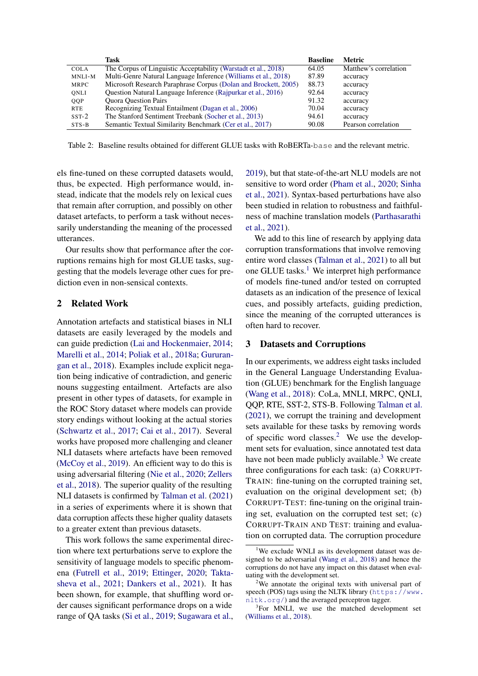<span id="page-1-3"></span>

|             | Task                                                            | <b>Baseline</b> | Metric                |
|-------------|-----------------------------------------------------------------|-----------------|-----------------------|
| <b>COLA</b> | The Corpus of Linguistic Acceptability (Warstadt et al., 2018)  | 64.05           | Matthew's correlation |
| MNLI-M      | Multi-Genre Natural Language Inference (Williams et al., 2018)  | 87.89           | accuracy              |
| <b>MRPC</b> | Microsoft Research Paraphrase Corpus (Dolan and Brockett, 2005) | 88.73           | accuracy              |
| ONLI        | Question Natural Language Inference (Rajpurkar et al., 2016)    | 92.64           | accuracy              |
| QQP         | <b>Ouora Ouestion Pairs</b>                                     | 91.32           | accuracy              |
| <b>RTE</b>  | Recognizing Textual Entailment (Dagan et al., 2006)             | 70.04           | accuracy              |
| $SST-2$     | The Stanford Sentiment Treebank (Socher et al., 2013)           | 94.61           | accuracy              |
| $STS-B$     | Semantic Textual Similarity Benchmark (Cer et al., 2017)        | 90.08           | Pearson correlation   |

Table 2: Baseline results obtained for different GLUE tasks with RoBERTa-base and the relevant metric.

els fine-tuned on these corrupted datasets would, thus, be expected. High performance would, instead, indicate that the models rely on lexical cues that remain after corruption, and possibly on other dataset artefacts, to perform a task without necessarily understanding the meaning of the processed utterances.

Our results show that performance after the corruptions remains high for most GLUE tasks, suggesting that the models leverage other cues for prediction even in non-sensical contexts.

# 2 Related Work

Annotation artefacts and statistical biases in NLI datasets are easily leveraged by the models and can guide prediction [\(Lai and Hockenmaier,](#page-5-6) [2014;](#page-5-6) [Marelli et al.,](#page-5-7) [2014;](#page-5-7) [Poliak et al.,](#page-5-8) [2018a;](#page-5-8) [Gururan](#page-5-2)[gan et al.,](#page-5-2) [2018\)](#page-5-2). Examples include explicit negation being indicative of contradiction, and generic nouns suggesting entailment. Artefacts are also present in other types of datasets, for example in the ROC Story dataset where models can provide story endings without looking at the actual stories [\(Schwartz et al.,](#page-6-10) [2017;](#page-6-10) [Cai et al.,](#page-4-2) [2017\)](#page-4-2). Several works have proposed more challenging and cleaner NLI datasets where artefacts have been removed [\(McCoy et al.,](#page-5-9) [2019\)](#page-5-9). An efficient way to do this is using adversarial filtering [\(Nie et al.,](#page-5-10) [2020;](#page-5-10) [Zellers](#page-7-0) [et al.,](#page-7-0) [2018\)](#page-7-0). The superior quality of the resulting NLI datasets is confirmed by [Talman et al.](#page-6-5) [\(2021\)](#page-6-5) in a series of experiments where it is shown that data corruption affects these higher quality datasets to a greater extent than previous datasets.

This work follows the same experimental direction where text perturbations serve to explore the sensitivity of language models to specific phenomena [\(Futrell et al.,](#page-5-11) [2019;](#page-5-11) [Ettinger,](#page-5-12) [2020;](#page-5-12) [Takta](#page-6-11)[sheva et al.,](#page-6-11) [2021;](#page-6-11) [Dankers et al.,](#page-5-13) [2021\)](#page-5-13). It has been shown, for example, that shuffling word order causes significant performance drops on a wide range of QA tasks [\(Si et al.,](#page-6-12) [2019;](#page-6-12) [Sugawara et al.,](#page-6-13) [2019\)](#page-6-13), but that state-of-the-art NLU models are not sensitive to word order [\(Pham et al.,](#page-5-4) [2020;](#page-5-4) [Sinha](#page-6-14) [et al.,](#page-6-14) [2021\)](#page-6-14). Syntax-based perturbations have also been studied in relation to robustness and faithfulness of machine translation models [\(Parthasarathi](#page-5-14) [et al.,](#page-5-14) [2021\)](#page-5-14).

We add to this line of research by applying data corruption transformations that involve removing entire word classes [\(Talman et al.,](#page-6-5) [2021\)](#page-6-5) to all but one GLUE tasks.<sup>[1](#page-1-0)</sup> We interpret high performance of models fine-tuned and/or tested on corrupted datasets as an indication of the presence of lexical cues, and possibly artefacts, guiding prediction, since the meaning of the corrupted utterances is often hard to recover.

#### 3 Datasets and Corruptions

In our experiments, we address eight tasks included in the General Language Understanding Evaluation (GLUE) benchmark for the English language [\(Wang et al.,](#page-6-0) [2018\)](#page-6-0): CoLa, MNLI, MRPC, QNLI, QQP, RTE, SST-2, STS-B. Following [Talman et al.](#page-6-5) [\(2021\)](#page-6-5), we corrupt the training and development sets available for these tasks by removing words of specific word classes.<sup>[2](#page-1-1)</sup> We use the development sets for evaluation, since annotated test data have not been made publicly available. $3$  We create three configurations for each task: (a) CORRUPT-TRAIN: fine-tuning on the corrupted training set, evaluation on the original development set; (b) CORRUPT-TEST: fine-tuning on the original training set, evaluation on the corrupted test set; (c) CORRUPT-TRAIN AND TEST: training and evaluation on corrupted data. The corruption procedure

<span id="page-1-0"></span><sup>&</sup>lt;sup>1</sup>We exclude WNLI as its development dataset was designed to be adversarial [\(Wang et al.,](#page-6-0) [2018\)](#page-6-0) and hence the corruptions do not have any impact on this dataset when evaluating with the development set.

<span id="page-1-1"></span> $2$ We annotate the original texts with universal part of speech (POS) tags using the NLTK library ([https://www.](https://www.nltk.org/) [nltk.org/](https://www.nltk.org/)) and the averaged perceptron tagger.

<span id="page-1-2"></span><sup>&</sup>lt;sup>3</sup>For MNLI, we use the matched development set [\(Williams et al.,](#page-6-7) [2018\)](#page-6-7).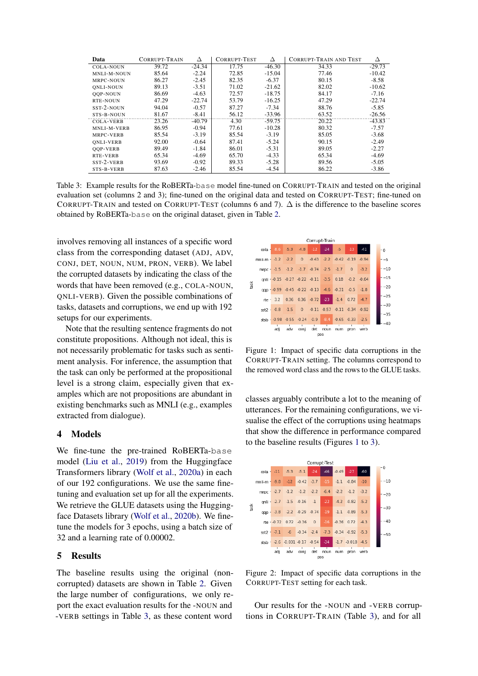<span id="page-2-0"></span>

| Data             | CORRUPT-TRAIN | Δ        | <b>CORRUPT-TEST</b> | Δ        | <b>CORRUPT-TRAIN AND TEST</b> | Δ        |
|------------------|---------------|----------|---------------------|----------|-------------------------------|----------|
| <b>COLA-NOUN</b> | 39.72         | $-24.34$ | 17.75               | $-46.30$ | 34.33                         | $-29.73$ |
| MNLI-M-NOUN      | 85.64         | $-2.24$  | 72.85               | $-15.04$ | 77.46                         | $-10.42$ |
| MRPC-NOUN        | 86.27         | $-2.45$  | 82.35               | $-6.37$  | 80.15                         | $-8.58$  |
| <b>ONLI-NOUN</b> | 89.13         | $-3.51$  | 71.02               | $-21.62$ | 82.02                         | $-10.62$ |
| <b>OOP-NOUN</b>  | 86.69         | $-4.63$  | 72.57               | $-18.75$ | 84.17                         | $-7.16$  |
| RTE-NOUN         | 47.29         | $-22.74$ | 53.79               | $-16.25$ | 47.29                         | $-22.74$ |
| SST-2-NOUN       | 94.04         | $-0.57$  | 87.27               | $-7.34$  | 88.76                         | $-5.85$  |
| STS-B-NOUN       | 81.67         | $-8.41$  | 56.12               | $-33.96$ | 63.52                         | $-26.56$ |
| <b>COLA-VERB</b> | 23.26         | $-40.79$ | 4.30                | $-59.75$ | 20.22                         | $-43.83$ |
| MNLI-M-VERB      | 86.95         | $-0.94$  | 77.61               | $-10.28$ | 80.32                         | $-7.57$  |
| MRPC-VERB        | 85.54         | $-3.19$  | 85.54               | $-3.19$  | 85.05                         | $-3.68$  |
| <b>ONLI-VERB</b> | 92.00         | $-0.64$  | 87.41               | $-5.24$  | 90.15                         | $-2.49$  |
| <b>OOP-VERB</b>  | 89.49         | $-1.84$  | 86.01               | $-5.31$  | 89.05                         | $-2.27$  |
| RTE-VERB         | 65.34         | $-4.69$  | 65.70               | $-4.33$  | 65.34                         | $-4.69$  |
| SST-2-VERB       | 93.69         | $-0.92$  | 89.33               | $-5.28$  | 89.56                         | $-5.05$  |
| STS-B-VERB       | 87.63         | $-2.46$  | 85.54               | $-4.54$  | 86.22                         | $-3.86$  |

Table 3: Example results for the RoBERTa-base model fine-tuned on CORRUPT-TRAIN and tested on the original evaluation set (columns 2 and 3); fine-tuned on the original data and tested on CORRUPT-TEST; fine-tuned on CORRUPT-TRAIN and tested on CORRUPT-TEST (columns 6 and 7).  $\Delta$  is the difference to the baseline scores obtained by RoBERTa-base on the original dataset, given in Table [2.](#page-1-3)

involves removing all instances of a specific word class from the corresponding dataset (ADJ, ADV, CONJ, DET, NOUN, NUM, PRON, VERB). We label the corrupted datasets by indicating the class of the words that have been removed (e.g., COLA-NOUN, QNLI-VERB). Given the possible combinations of tasks, datasets and corruptions, we end up with 192 setups for our experiments.

Note that the resulting sentence fragments do not constitute propositions. Although not ideal, this is not necessarily problematic for tasks such as sentiment analysis. For inference, the assumption that the task can only be performed at the propositional level is a strong claim, especially given that examples which are not propositions are abundant in existing benchmarks such as MNLI (e.g., examples extracted from dialogue).

#### 4 Models

We fine-tune the pre-trained RoBERTa-base model [\(Liu et al.,](#page-5-1) [2019\)](#page-5-1) from the Huggingface Transformers library [\(Wolf et al.,](#page-6-15) [2020a\)](#page-6-15) in each of our 192 configurations. We use the same finetuning and evaluation set up for all the experiments. We retrieve the GLUE datasets using the Huggingface Datasets library [\(Wolf et al.,](#page-6-16) [2020b\)](#page-6-16). We finetune the models for 3 epochs, using a batch size of 32 and a learning rate of 0.00002.

#### <span id="page-2-3"></span>5 Results

The baseline results using the original (noncorrupted) datasets are shown in Table [2.](#page-1-3) Given the large number of configurations, we only report the exact evaluation results for the -NOUN and -VERB settings in Table [3,](#page-2-0) as these content word

<span id="page-2-1"></span>

Figure 1: Impact of specific data corruptions in the CORRUPT-TRAIN setting. The columns correspond to the removed word class and the rows to the GLUE tasks.

classes arguably contribute a lot to the meaning of utterances. For the remaining configurations, we visualise the effect of the corruptions using heatmaps that show the difference in performance compared to the baseline results (Figures [1](#page-2-1) to [3\)](#page-3-0).

<span id="page-2-2"></span>

Figure 2: Impact of specific data corruptions in the CORRUPT-TEST setting for each task.

Our results for the -NOUN and -VERB corruptions in CORRUPT-TRAIN (Table [3\)](#page-2-0), and for all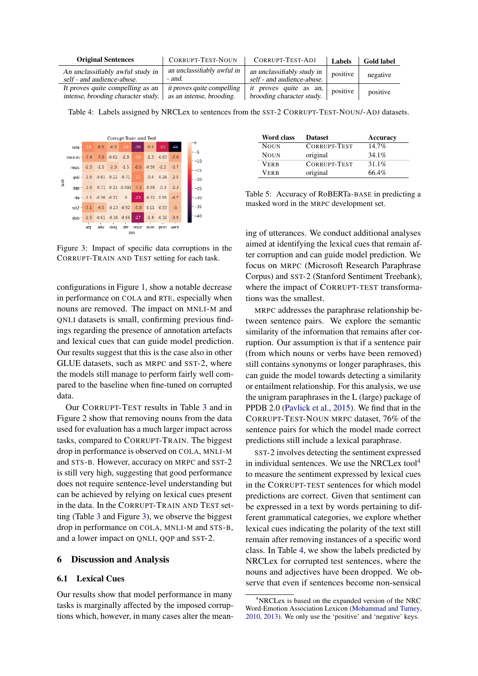<span id="page-3-2"></span>

| <b>Original Sentences</b>                                              | <b>CORRUPT-TEST-NOUN</b>                               | CORRUPT-TEST-ADJ                                         | Labels   | <b>Gold label</b> |
|------------------------------------------------------------------------|--------------------------------------------------------|----------------------------------------------------------|----------|-------------------|
| An unclassifiably awful study in<br>self - and audience-abuse.         | an unclassifiably awful in<br>- and.                   | an unclassifiably study in<br>self - and audience-abuse. | positive | negative          |
| It proves quite compelling as an<br>intense, brooding character study. | it proves quite compelling<br>as an intense, brooding. | it proves quite as an,<br>brooding character study.      | positive | positive          |

Table 4: Labels assigned by NRCLex to sentences from the SST-2 CORRUPT-TEST-NOUN/-ADJ datasets.

<span id="page-3-0"></span>

Figure 3: Impact of specific data corruptions in the CORRUPT-TRAIN AND TEST setting for each task.

configurations in Figure [1,](#page-2-1) show a notable decrease in performance on COLA and RTE, especially when nouns are removed. The impact on MNLI-M and QNLI datasets is small, confirming previous findings regarding the presence of annotation artefacts and lexical cues that can guide model prediction. Our results suggest that this is the case also in other GLUE datasets, such as MRPC and SST-2, where the models still manage to perform fairly well compared to the baseline when fine-tuned on corrupted data.

Our CORRUPT-TEST results in Table [3](#page-2-0) and in Figure [2](#page-2-2) show that removing nouns from the data used for evaluation has a much larger impact across tasks, compared to CORRUPT-TRAIN. The biggest drop in performance is observed on COLA, MNLI-M and STS-B. However, accuracy on MRPC and SST-2 is still very high, suggesting that good performance does not require sentence-level understanding but can be achieved by relying on lexical cues present in the data. In the CORRUPT-TRAIN AND TEST setting (Table [3](#page-2-0) and Figure [3\)](#page-3-0), we observe the biggest drop in performance on COLA, MNLI-M and STS-B, and a lower impact on QNLI, QQP and SST-2.

#### 6 Discussion and Analysis

#### 6.1 Lexical Cues

Our results show that model performance in many tasks is marginally affected by the imposed corruptions which, however, in many cases alter the mean-

<span id="page-3-3"></span>

| Word class  | <b>Dataset</b> | Accuracy |
|-------------|----------------|----------|
| <b>NOUN</b> | CORRUPT-TEST   | $14.7\%$ |
| <b>NOUN</b> | original       | 34.1%    |
| Verb        | CORRUPT-TEST   | 31.1%    |
| VERB        | original       | 66.4%    |

Table 5: Accuracy of RoBERTa-BASE in predicting a masked word in the MRPC development set.

ing of utterances. We conduct additional analyses aimed at identifying the lexical cues that remain after corruption and can guide model prediction. We focus on MRPC (Microsoft Research Paraphrase Corpus) and SST-2 (Stanford Sentiment Treebank), where the impact of CORRUPT-TEST transformations was the smallest.

MRPC addresses the paraphrase relationship between sentence pairs. We explore the semantic similarity of the information that remains after corruption. Our assumption is that if a sentence pair (from which nouns or verbs have been removed) still contains synonyms or longer paraphrases, this can guide the model towards detecting a similarity or entailment relationship. For this analysis, we use the unigram paraphrases in the L (large) package of PPDB 2.0 [\(Pavlick et al.,](#page-5-15) [2015\)](#page-5-15). We find that in the CORRUPT-TEST-NOUN MRPC dataset, 76% of the sentence pairs for which the model made correct predictions still include a lexical paraphrase.

SST-2 involves detecting the sentiment expressed in individual sentences. We use the NRCLex tool $4$ to measure the sentiment expressed by lexical cues in the CORRUPT-TEST sentences for which model predictions are correct. Given that sentiment can be expressed in a text by words pertaining to different grammatical categories, we explore whether lexical cues indicating the polarity of the text still remain after removing instances of a specific word class. In Table [4,](#page-3-2) we show the labels predicted by NRCLex for corrupted test sentences, where the nouns and adjectives have been dropped. We observe that even if sentences become non-sensical

<span id="page-3-1"></span><sup>4</sup>NRCLex is based on the expanded version of the NRC Word-Emotion Association Lexicon [\(Mohammad and Turney,](#page-5-16) [2010,](#page-5-16) [2013\)](#page-5-17). We only use the 'positive' and 'negative' keys.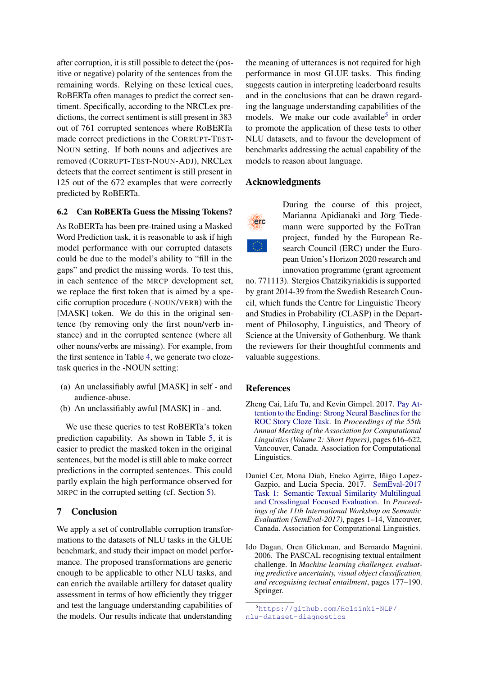after corruption, it is still possible to detect the (positive or negative) polarity of the sentences from the remaining words. Relying on these lexical cues, RoBERTa often manages to predict the correct sentiment. Specifically, according to the NRCLex predictions, the correct sentiment is still present in 383 out of 761 corrupted sentences where RoBERTa made correct predictions in the CORRUPT-TEST-NOUN setting. If both nouns and adjectives are removed (CORRUPT-TEST-NOUN-ADJ), NRCLex detects that the correct sentiment is still present in 125 out of the 672 examples that were correctly predicted by RoBERTa.

#### 6.2 Can RoBERTa Guess the Missing Tokens?

As RoBERTa has been pre-trained using a Masked Word Prediction task, it is reasonable to ask if high model performance with our corrupted datasets could be due to the model's ability to "fill in the gaps" and predict the missing words. To test this, in each sentence of the MRCP development set, we replace the first token that is aimed by a specific corruption procedure (-NOUN/VERB) with the [MASK] token. We do this in the original sentence (by removing only the first noun/verb instance) and in the corrupted sentence (where all other nouns/verbs are missing). For example, from the first sentence in Table [4,](#page-3-2) we generate two clozetask queries in the -NOUN setting:

- (a) An unclassifiably awful [MASK] in self and audience-abuse.
- (b) An unclassifiably awful [MASK] in and.

We use these queries to test RoBERTa's token prediction capability. As shown in Table [5,](#page-3-3) it is easier to predict the masked token in the original sentences, but the model is still able to make correct predictions in the corrupted sentences. This could partly explain the high performance observed for MRPC in the corrupted setting (cf. Section [5\)](#page-2-3).

### 7 Conclusion

We apply a set of controllable corruption transformations to the datasets of NLU tasks in the GLUE benchmark, and study their impact on model performance. The proposed transformations are generic enough to be applicable to other NLU tasks, and can enrich the available artillery for dataset quality assessment in terms of how efficiently they trigger and test the language understanding capabilities of the models. Our results indicate that understanding

the meaning of utterances is not required for high performance in most GLUE tasks. This finding suggests caution in interpreting leaderboard results and in the conclusions that can be drawn regarding the language understanding capabilities of the models. We make our code available<sup>[5](#page-4-3)</sup> in order to promote the application of these tests to other NLU datasets, and to favour the development of benchmarks addressing the actual capability of the models to reason about language.

#### Acknowledgments



During the course of this project, Marianna Apidianaki and Jörg Tiedemann were supported by the FoTran project, funded by the European Research Council (ERC) under the European Union's Horizon 2020 research and innovation programme (grant agreement

no. 771113). Stergios Chatzikyriakidis is supported by grant 2014-39 from the Swedish Research Council, which funds the Centre for Linguistic Theory and Studies in Probability (CLASP) in the Department of Philosophy, Linguistics, and Theory of Science at the University of Gothenburg. We thank the reviewers for their thoughtful comments and valuable suggestions.

#### References

- <span id="page-4-2"></span>Zheng Cai, Lifu Tu, and Kevin Gimpel. 2017. [Pay At](https://doi.org/10.18653/v1/P17-2097)[tention to the Ending: Strong Neural Baselines for the](https://doi.org/10.18653/v1/P17-2097) [ROC Story Cloze Task.](https://doi.org/10.18653/v1/P17-2097) In *Proceedings of the 55th Annual Meeting of the Association for Computational Linguistics (Volume 2: Short Papers)*, pages 616–622, Vancouver, Canada. Association for Computational Linguistics.
- <span id="page-4-1"></span>Daniel Cer, Mona Diab, Eneko Agirre, Iñigo Lopez-Gazpio, and Lucia Specia. 2017. [SemEval-2017](https://doi.org/10.18653/v1/S17-2001) [Task 1: Semantic Textual Similarity Multilingual](https://doi.org/10.18653/v1/S17-2001) [and Crosslingual Focused Evaluation.](https://doi.org/10.18653/v1/S17-2001) In *Proceedings of the 11th International Workshop on Semantic Evaluation (SemEval-2017)*, pages 1–14, Vancouver, Canada. Association for Computational Linguistics.
- <span id="page-4-0"></span>Ido Dagan, Oren Glickman, and Bernardo Magnini. 2006. The PASCAL recognising textual entailment challenge. In *Machine learning challenges. evaluating predictive uncertainty, visual object classification, and recognising tectual entailment*, pages 177–190. Springer.

<span id="page-4-3"></span><sup>5</sup>[https://github.com/Helsinki-NLP/](https://github.com/Helsinki-NLP/nlu-dataset-diagnostics) [nlu-dataset-diagnostics](https://github.com/Helsinki-NLP/nlu-dataset-diagnostics)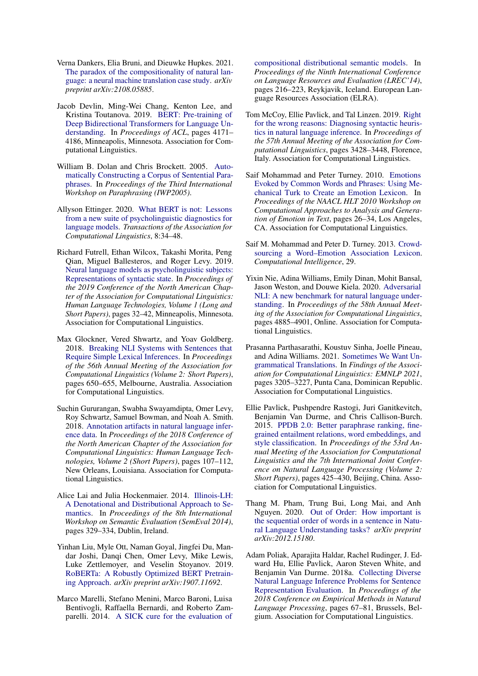- <span id="page-5-13"></span>Verna Dankers, Elia Bruni, and Dieuwke Hupkes. 2021. [The paradox of the compositionality of natural lan](https://doi.org/10.48550/ARXIV.2108.05885)[guage: a neural machine translation case study.](https://doi.org/10.48550/ARXIV.2108.05885) *arXiv preprint arXiv:2108.05885*.
- <span id="page-5-0"></span>Jacob Devlin, Ming-Wei Chang, Kenton Lee, and Kristina Toutanova. 2019. [BERT: Pre-training of](https://doi.org/10.18653/v1/N19-1423) [Deep Bidirectional Transformers for Language Un](https://doi.org/10.18653/v1/N19-1423)[derstanding.](https://doi.org/10.18653/v1/N19-1423) In *Proceedings of ACL*, pages 4171– 4186, Minneapolis, Minnesota. Association for Computational Linguistics.
- <span id="page-5-5"></span>William B. Dolan and Chris Brockett. 2005. [Auto](https://www.aclweb.org/anthology/I05-5002)[matically Constructing a Corpus of Sentential Para](https://www.aclweb.org/anthology/I05-5002)[phrases.](https://www.aclweb.org/anthology/I05-5002) In *Proceedings of the Third International Workshop on Paraphrasing (IWP2005)*.
- <span id="page-5-12"></span>Allyson Ettinger. 2020. [What BERT is not: Lessons](https://doi.org/10.1162/tacl_a_00298) [from a new suite of psycholinguistic diagnostics for](https://doi.org/10.1162/tacl_a_00298) [language models.](https://doi.org/10.1162/tacl_a_00298) *Transactions of the Association for Computational Linguistics*, 8:34–48.
- <span id="page-5-11"></span>Richard Futrell, Ethan Wilcox, Takashi Morita, Peng Qian, Miguel Ballesteros, and Roger Levy. 2019. [Neural language models as psycholinguistic subjects:](https://doi.org/10.18653/v1/N19-1004) [Representations of syntactic state.](https://doi.org/10.18653/v1/N19-1004) In *Proceedings of the 2019 Conference of the North American Chapter of the Association for Computational Linguistics: Human Language Technologies, Volume 1 (Long and Short Papers)*, pages 32–42, Minneapolis, Minnesota. Association for Computational Linguistics.
- <span id="page-5-3"></span>Max Glockner, Vered Shwartz, and Yoav Goldberg. 2018. [Breaking NLI Systems with Sentences that](https://doi.org/10.18653/v1/P18-2103) [Require Simple Lexical Inferences.](https://doi.org/10.18653/v1/P18-2103) In *Proceedings of the 56th Annual Meeting of the Association for Computational Linguistics (Volume 2: Short Papers)*, pages 650–655, Melbourne, Australia. Association for Computational Linguistics.
- <span id="page-5-2"></span>Suchin Gururangan, Swabha Swayamdipta, Omer Levy, Roy Schwartz, Samuel Bowman, and Noah A. Smith. 2018. [Annotation artifacts in natural language infer](https://doi.org/10.18653/v1/N18-2017)[ence data.](https://doi.org/10.18653/v1/N18-2017) In *Proceedings of the 2018 Conference of the North American Chapter of the Association for Computational Linguistics: Human Language Technologies, Volume 2 (Short Papers)*, pages 107–112, New Orleans, Louisiana. Association for Computational Linguistics.
- <span id="page-5-6"></span>Alice Lai and Julia Hockenmaier. 2014. [Illinois-LH:](https://doi.org/10.3115/v1/S14-2055) [A Denotational and Distributional Approach to Se](https://doi.org/10.3115/v1/S14-2055)[mantics.](https://doi.org/10.3115/v1/S14-2055) In *Proceedings of the 8th International Workshop on Semantic Evaluation (SemEval 2014)*, pages 329–334, Dublin, Ireland.
- <span id="page-5-1"></span>Yinhan Liu, Myle Ott, Naman Goyal, Jingfei Du, Mandar Joshi, Danqi Chen, Omer Levy, Mike Lewis, Luke Zettlemoyer, and Veselin Stoyanov. 2019. [RoBERTa: A Robustly Optimized BERT Pretrain](https://arxiv.org/abs/1907.11692)[ing Approach.](https://arxiv.org/abs/1907.11692) *arXiv preprint arXiv:1907.11692*.
- <span id="page-5-7"></span>Marco Marelli, Stefano Menini, Marco Baroni, Luisa Bentivogli, Raffaella Bernardi, and Roberto Zamparelli. 2014. [A SICK cure for the evaluation of](http://www.lrec-conf.org/proceedings/lrec2014/pdf/363_Paper.pdf)

[compositional distributional semantic models.](http://www.lrec-conf.org/proceedings/lrec2014/pdf/363_Paper.pdf) In *Proceedings of the Ninth International Conference on Language Resources and Evaluation (LREC'14)*, pages 216–223, Reykjavik, Iceland. European Language Resources Association (ELRA).

- <span id="page-5-9"></span>Tom McCoy, Ellie Pavlick, and Tal Linzen. 2019. [Right](https://doi.org/10.18653/v1/P19-1334) [for the wrong reasons: Diagnosing syntactic heuris](https://doi.org/10.18653/v1/P19-1334)[tics in natural language inference.](https://doi.org/10.18653/v1/P19-1334) In *Proceedings of the 57th Annual Meeting of the Association for Computational Linguistics*, pages 3428–3448, Florence, Italy. Association for Computational Linguistics.
- <span id="page-5-16"></span>Saif Mohammad and Peter Turney. 2010. [Emotions](https://www.aclweb.org/anthology/W10-0204) [Evoked by Common Words and Phrases: Using Me](https://www.aclweb.org/anthology/W10-0204)[chanical Turk to Create an Emotion Lexicon.](https://www.aclweb.org/anthology/W10-0204) In *Proceedings of the NAACL HLT 2010 Workshop on Computational Approaches to Analysis and Generation of Emotion in Text*, pages 26–34, Los Angeles, CA. Association for Computational Linguistics.
- <span id="page-5-17"></span>Saif M. Mohammad and Peter D. Turney. 2013. [Crowd](https://arxiv.org/abs/1308.6297)[sourcing a Word–Emotion Association Lexicon.](https://arxiv.org/abs/1308.6297) *Computational Intelligence*, 29.
- <span id="page-5-10"></span>Yixin Nie, Adina Williams, Emily Dinan, Mohit Bansal, Jason Weston, and Douwe Kiela. 2020. [Adversarial](https://doi.org/10.18653/v1/2020.acl-main.441) [NLI: A new benchmark for natural language under](https://doi.org/10.18653/v1/2020.acl-main.441)[standing.](https://doi.org/10.18653/v1/2020.acl-main.441) In *Proceedings of the 58th Annual Meeting of the Association for Computational Linguistics*, pages 4885–4901, Online. Association for Computational Linguistics.
- <span id="page-5-14"></span>Prasanna Parthasarathi, Koustuv Sinha, Joelle Pineau, and Adina Williams. 2021. [Sometimes We Want Un](https://doi.org/10.18653/v1/2021.findings-emnlp.275)[grammatical Translations.](https://doi.org/10.18653/v1/2021.findings-emnlp.275) In *Findings of the Association for Computational Linguistics: EMNLP 2021*, pages 3205–3227, Punta Cana, Dominican Republic. Association for Computational Linguistics.
- <span id="page-5-15"></span>Ellie Pavlick, Pushpendre Rastogi, Juri Ganitkevitch, Benjamin Van Durme, and Chris Callison-Burch. 2015. [PPDB 2.0: Better paraphrase ranking, fine](https://doi.org/10.3115/v1/P15-2070)[grained entailment relations, word embeddings, and](https://doi.org/10.3115/v1/P15-2070) [style classification.](https://doi.org/10.3115/v1/P15-2070) In *Proceedings of the 53rd Annual Meeting of the Association for Computational Linguistics and the 7th International Joint Conference on Natural Language Processing (Volume 2: Short Papers)*, pages 425–430, Beijing, China. Association for Computational Linguistics.
- <span id="page-5-4"></span>Thang M. Pham, Trung Bui, Long Mai, and Anh Nguyen. 2020. [Out of Order: How important is](https://arxiv.org/abs/2012.15180) [the sequential order of words in a sentence in Natu](https://arxiv.org/abs/2012.15180)[ral Language Understanding tasks?](https://arxiv.org/abs/2012.15180) *arXiv preprint arXiv:2012.15180*.
- <span id="page-5-8"></span>Adam Poliak, Aparajita Haldar, Rachel Rudinger, J. Edward Hu, Ellie Pavlick, Aaron Steven White, and Benjamin Van Durme. 2018a. [Collecting Diverse](https://doi.org/10.18653/v1/D18-1007) [Natural Language Inference Problems for Sentence](https://doi.org/10.18653/v1/D18-1007) [Representation Evaluation.](https://doi.org/10.18653/v1/D18-1007) In *Proceedings of the 2018 Conference on Empirical Methods in Natural Language Processing*, pages 67–81, Brussels, Belgium. Association for Computational Linguistics.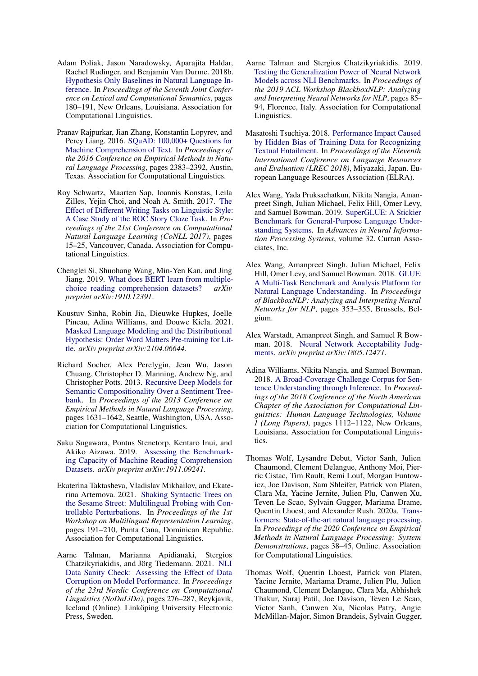- <span id="page-6-2"></span>Adam Poliak, Jason Naradowsky, Aparajita Haldar, Rachel Rudinger, and Benjamin Van Durme. 2018b. [Hypothesis Only Baselines in Natural Language In](https://doi.org/10.18653/v1/S18-2023)[ference.](https://doi.org/10.18653/v1/S18-2023) In *Proceedings of the Seventh Joint Conference on Lexical and Computational Semantics*, pages 180–191, New Orleans, Louisiana. Association for Computational Linguistics.
- <span id="page-6-8"></span>Pranav Rajpurkar, Jian Zhang, Konstantin Lopyrev, and Percy Liang. 2016. [SQuAD: 100,000+ Questions for](https://doi.org/10.18653/v1/D16-1264) [Machine Comprehension of Text.](https://doi.org/10.18653/v1/D16-1264) In *Proceedings of the 2016 Conference on Empirical Methods in Natural Language Processing*, pages 2383–2392, Austin, Texas. Association for Computational Linguistics.
- <span id="page-6-10"></span>Roy Schwartz, Maarten Sap, Ioannis Konstas, Leila Zilles, Yejin Choi, and Noah A. Smith. 2017. [The](https://doi.org/10.18653/v1/K17-1004) [Effect of Different Writing Tasks on Linguistic Style:](https://doi.org/10.18653/v1/K17-1004) [A Case Study of the ROC Story Cloze Task.](https://doi.org/10.18653/v1/K17-1004) In *Proceedings of the 21st Conference on Computational Natural Language Learning (CoNLL 2017)*, pages 15–25, Vancouver, Canada. Association for Computational Linguistics.
- <span id="page-6-12"></span>Chenglei Si, Shuohang Wang, Min-Yen Kan, and Jing Jiang. 2019. [What does BERT learn from multiple](http://arxiv.org/abs/1910.12391)[choice reading comprehension datasets?](http://arxiv.org/abs/1910.12391) *arXiv preprint arXiv:1910.12391*.
- <span id="page-6-14"></span>Koustuv Sinha, Robin Jia, Dieuwke Hupkes, Joelle Pineau, Adina Williams, and Douwe Kiela. 2021. [Masked Language Modeling and the Distributional](https://arxiv.org/abs/2104.06644) [Hypothesis: Order Word Matters Pre-training for Lit](https://arxiv.org/abs/2104.06644)[tle.](https://arxiv.org/abs/2104.06644) *arXiv preprint arXiv:2104.06644*.
- <span id="page-6-9"></span>Richard Socher, Alex Perelygin, Jean Wu, Jason Chuang, Christopher D. Manning, Andrew Ng, and Christopher Potts. 2013. [Recursive Deep Models for](https://aclanthology.org/D13-1170) [Semantic Compositionality Over a Sentiment Tree](https://aclanthology.org/D13-1170)[bank.](https://aclanthology.org/D13-1170) In *Proceedings of the 2013 Conference on Empirical Methods in Natural Language Processing*, pages 1631–1642, Seattle, Washington, USA. Association for Computational Linguistics.
- <span id="page-6-13"></span>Saku Sugawara, Pontus Stenetorp, Kentaro Inui, and Akiko Aizawa. 2019. [Assessing the Benchmark](http://arxiv.org/abs/1911.09241)[ing Capacity of Machine Reading Comprehension](http://arxiv.org/abs/1911.09241) [Datasets.](http://arxiv.org/abs/1911.09241) *arXiv preprint arXiv:1911.09241*.
- <span id="page-6-11"></span>Ekaterina Taktasheva, Vladislav Mikhailov, and Ekaterina Artemova. 2021. [Shaking Syntactic Trees on](https://doi.org/10.18653/v1/2021.mrl-1.17) [the Sesame Street: Multilingual Probing with Con](https://doi.org/10.18653/v1/2021.mrl-1.17)[trollable Perturbations.](https://doi.org/10.18653/v1/2021.mrl-1.17) In *Proceedings of the 1st Workshop on Multilingual Representation Learning*, pages 191–210, Punta Cana, Dominican Republic. Association for Computational Linguistics.
- <span id="page-6-5"></span>Aarne Talman, Marianna Apidianaki, Stergios Chatzikyriakidis, and Jörg Tiedemann. 2021. [NLI](https://aclanthology.org/2021.nodalida-main.28) [Data Sanity Check: Assessing the Effect of Data](https://aclanthology.org/2021.nodalida-main.28) [Corruption on Model Performance.](https://aclanthology.org/2021.nodalida-main.28) In *Proceedings of the 23rd Nordic Conference on Computational Linguistics (NoDaLiDa)*, pages 276–287, Reykjavik, Iceland (Online). Linköping University Electronic Press, Sweden.
- <span id="page-6-4"></span>Aarne Talman and Stergios Chatzikyriakidis. 2019. [Testing the Generalization Power of Neural Network](https://doi.org/10.18653/v1/W19-4810) [Models across NLI Benchmarks.](https://doi.org/10.18653/v1/W19-4810) In *Proceedings of the 2019 ACL Workshop BlackboxNLP: Analyzing and Interpreting Neural Networks for NLP*, pages 85– 94, Florence, Italy. Association for Computational Linguistics.
- <span id="page-6-3"></span>Masatoshi Tsuchiya. 2018. [Performance Impact Caused](https://aclanthology.org/L18-1239) [by Hidden Bias of Training Data for Recognizing](https://aclanthology.org/L18-1239) [Textual Entailment.](https://aclanthology.org/L18-1239) In *Proceedings of the Eleventh International Conference on Language Resources and Evaluation (LREC 2018)*, Miyazaki, Japan. European Language Resources Association (ELRA).
- <span id="page-6-1"></span>Alex Wang, Yada Pruksachatkun, Nikita Nangia, Amanpreet Singh, Julian Michael, Felix Hill, Omer Levy, and Samuel Bowman. 2019. [SuperGLUE: A Stickier](https://proceedings.neurips.cc/paper/2019/file/4496bf24afe7fab6f046bf4923da8de6-Paper.pdf) [Benchmark for General-Purpose Language Under](https://proceedings.neurips.cc/paper/2019/file/4496bf24afe7fab6f046bf4923da8de6-Paper.pdf)[standing Systems.](https://proceedings.neurips.cc/paper/2019/file/4496bf24afe7fab6f046bf4923da8de6-Paper.pdf) In *Advances in Neural Information Processing Systems*, volume 32. Curran Associates, Inc.
- <span id="page-6-0"></span>Alex Wang, Amanpreet Singh, Julian Michael, Felix Hill, Omer Levy, and Samuel Bowman. 2018. [GLUE:](https://doi.org/10.18653/v1/W18-5446) [A Multi-Task Benchmark and Analysis Platform for](https://doi.org/10.18653/v1/W18-5446) [Natural Language Understanding.](https://doi.org/10.18653/v1/W18-5446) In *Proceedings of BlackboxNLP: Analyzing and Interpreting Neural Networks for NLP*, pages 353–355, Brussels, Belgium.
- <span id="page-6-6"></span>Alex Warstadt, Amanpreet Singh, and Samuel R Bowman. 2018. [Neural Network Acceptability Judg](https://arxiv.org/abs/1805.12471)[ments.](https://arxiv.org/abs/1805.12471) *arXiv preprint arXiv:1805.12471*.
- <span id="page-6-7"></span>Adina Williams, Nikita Nangia, and Samuel Bowman. 2018. [A Broad-Coverage Challenge Corpus for Sen](https://doi.org/10.18653/v1/N18-1101)[tence Understanding through Inference.](https://doi.org/10.18653/v1/N18-1101) In *Proceedings of the 2018 Conference of the North American Chapter of the Association for Computational Linguistics: Human Language Technologies, Volume 1 (Long Papers)*, pages 1112–1122, New Orleans, Louisiana. Association for Computational Linguistics.
- <span id="page-6-15"></span>Thomas Wolf, Lysandre Debut, Victor Sanh, Julien Chaumond, Clement Delangue, Anthony Moi, Pierric Cistac, Tim Rault, Remi Louf, Morgan Funtowicz, Joe Davison, Sam Shleifer, Patrick von Platen, Clara Ma, Yacine Jernite, Julien Plu, Canwen Xu, Teven Le Scao, Sylvain Gugger, Mariama Drame, Quentin Lhoest, and Alexander Rush. 2020a. [Trans](https://doi.org/10.18653/v1/2020.emnlp-demos.6)[formers: State-of-the-art natural language processing.](https://doi.org/10.18653/v1/2020.emnlp-demos.6) In *Proceedings of the 2020 Conference on Empirical Methods in Natural Language Processing: System Demonstrations*, pages 38–45, Online. Association for Computational Linguistics.
- <span id="page-6-16"></span>Thomas Wolf, Quentin Lhoest, Patrick von Platen, Yacine Jernite, Mariama Drame, Julien Plu, Julien Chaumond, Clement Delangue, Clara Ma, Abhishek Thakur, Suraj Patil, Joe Davison, Teven Le Scao, Victor Sanh, Canwen Xu, Nicolas Patry, Angie McMillan-Major, Simon Brandeis, Sylvain Gugger,